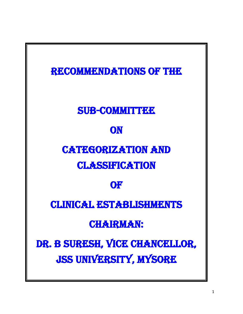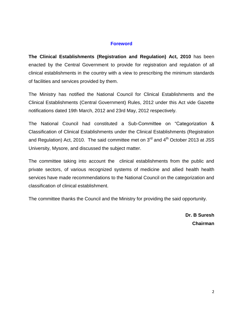#### **Foreword**

**The Clinical Establishments (Registration and Regulation) Act, 2010** has been enacted by the Central Government to provide for registration and regulation of all clinical establishments in the country with a view to prescribing the minimum standards of facilities and services provided by them.

The Ministry has notified the National Council for Clinical Establishments and the Clinical Establishments (Central Government) Rules, 2012 under this Act vide Gazette notifications dated 19th March, 2012 and 23rd May, 2012 respectively.

The National Council had constituted a Sub-Committee on "Categorization & Classification of Clinical Establishments under the Clinical Establishments (Registration and Regulation) Act, 2010. The said committee met on  $3<sup>rd</sup>$  and  $4<sup>th</sup>$  October 2013 at JSS University, Mysore, and discussed the subject matter.

The committee taking into account the clinical establishments from the public and private sectors, of various recognized systems of medicine and allied health health services have made recommendations to the National Council on the categorization and classification of clinical establishment.

The committee thanks the Council and the Ministry for providing the said opportunity.

**Dr. B Suresh Chairman**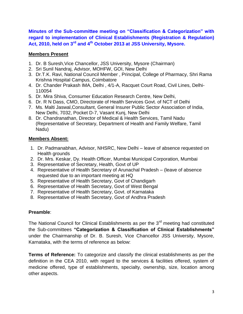**Minutes of the Sub-committee meeting on "Classification & Categorization" with regard to implementation of Clinical Establishments (Registration & Regulation) Act, 2010, held on 3rd and 4th October 2013 at JSS University, Mysore.**

### **Members Present**

- 1. Dr. B Suresh,Vice Chancellor, JSS University, Mysore (Chairman)
- 2. Sri Sunil Nandraj, Advisor, MOHFW, GOI, New Delhi
- 3. Dr.T.K. Ravi, National Council Member , Principal, College of Pharmacy, Shri Rama Krishna Hospital Campus, Coimbatore
- 4. Dr. Chander Prakash IMA, Delhi , 4/1-A, Racquet Court Road, Civil Lines, Delhi-110054
- 5. Dr. Mira Shiva, Consumer Education Research Centre, New Delhi,
- 6. Dr. R N Dass, CMO, Directorate of Health Services Govt. of NCT of Delhi
- 7. Ms. Malti Jaswal,Consultant, General Insurer Public Sector Association of India, New Delhi, 7032, Pocket D-7, Vasant Kunj, New Delhi
- 8. Dr. Chandranathan, Director of Medical & Health Services, Tamil Nadu (Representative of Secretary, Department of Health and Family Welfare, Tamil Nadu)

### **Members Absent:**

- 1. Dr. Padmanabhan, Advisor, NHSRC, New Delhi leave of absence requested on Health grounds
- 2. Dr. Mrs. Keskar, Dy. Health Officer, Mumbai Municipal Corporation, Mumbai
- 3. Representative of Secretary, Health, Govt of UP
- 4. Representative of Health Secretary of Arunachal Pradesh (leave of absence requested due to an important meeting at HQ
- 5. Representative of Health Secretary, Govt of Chandigarh
- 6. Representative of Health Secretary, Govt of West Bengal
- 7. Representative of Health Secretary, Govt. of Karnataka
- 8. Representative of Health Secretary, Govt of Andhra Pradesh

### **Preamble**:

The National Council for Clinical Establishments as per the  $3<sup>rd</sup>$  meeting had constituted the Sub-committees **"Categorization & Classification of Clinical Establishments"** under the Chairmanship of Dr. B. Suresh, Vice Chancellor JSS University, Mysore, Karnataka, with the terms of reference as below:

**Terms of Reference:** To categorize and classify the clinical establishments as per the definition in the CEA 2010, with regard to the services & facilities offered, system of medicine offered, type of establishments, specialty, ownership, size, location among other aspects.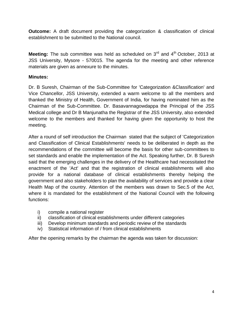**Outcome:** A draft document providing the categorization & classification of clinical establishment to be submitted to the National council.

**Meeting:** The sub committee was held as scheduled on 3<sup>rd</sup> and 4<sup>th</sup> October, 2013 at JSS University, Mysore - 570015. The agenda for the meeting and other reference materials are given as annexure to the minutes.

### **Minutes:**

Dr. B Suresh, Chairman of the Sub-Committee for 'Categorization &Classification' and Vice Chancellor, JSS University, extended a warm welcome to all the members and thanked the Ministry of Health, Government of India, for having nominated him as the Chairman of the Sub-Committee. Dr. Basavannagowdappa the Principal of the JSS Medical college and Dr B Manjunatha the Registrar of the JSS University, also extended welcome to the members and thanked for having given the opportunity to host the meeting.

After a round of self introduction the Chairman stated that the subject of 'Categorization and Classification of Clinical Establishments' needs to be deliberated in depth as the recommendations of the committee will become the basis for other sub-committees to set standards and enable the implementation of the Act. Speaking further, Dr. B Suresh said that the emerging challenges in the delivery of the Healthcare had necessitated the enactment of the 'Act' and that the registration of clinical establishments will also provide for a national database of clinical establishments thereby helping the government and also stakeholders to plan the availability of services and provide a clear Health Map of the country. Attention of the members was drawn to Sec.5 of the Act, where it is mandated for the establishment of the National Council with the following functions:

- i) compile a national register
- ii) classification of clinical establishments under different categories
- iii) Develop minimum standards and periodic review of the standards
- iv) Statistical information of / from clinical establishments

After the opening remarks by the chairman the agenda was taken for discussion: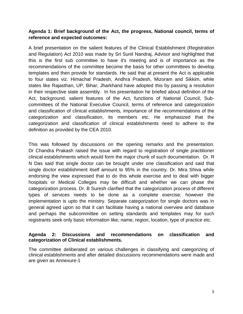#### **Agenda 1: Brief background of the Act, the progress, National council, terms of reference and expected outcomes:**

A brief presentation on the salient features of the Clinical Establishment (Registration and Regulation) Act 2010 was made by Sri Sunil Nandraj, Advisor and highlighted that this is the first sub committee to have it's meeting and is of importance as the recommendations of the committee become the basis for other committees to develop templates and then provide for standards. He said that at present the Act is applicable to four states viz. Himachal Pradesh, Andhra Pradesh, Mizoram and Sikkim, while states like Rajasthan, UP, Bihar, Jharkhand have adopted this by passing a resolution in their respective state assembly. In his presentation he briefed about definition of the Act, background, salient features of the Act, functions of National Council, Subcommittees of the National Executive Council, terms of reference and categorization and classification of clinical establishments, importance of the recommendations of the categorization and classification, its members etc. He emphasized that the categorization and classification of clinical establishments need to adhere to the definition as provided by the CEA 2010.

This was followed by discussions on the opening remarks and the presentation. Dr Chandra Prakash raised the issue with regard to registration of single practitioner clinical establishments which would form the major chunk of such documentation. Dr. R N Das said that single doctor can be brought under one classification and said that single doctor establishment itself amount to 95% in the country. Dr. Mira Shiva while endorsing the view expressed that to do this whole exercise and to deal with bigger hospitals or Medical Colleges may be difficult and whether we can phase the categorization process. Dr. B Suresh clarified that the categorization process of different types of services needs to be done as a complete exercise; however the implementation is upto the ministry. Separate categorization for single doctors was in general agreed upon so that it can facilitate having a national overview and database and perhaps the subcommittee on setting standards and templates may for such registrants seek only basic information like, name, region, location, type of practice etc.

#### **Agenda 2: Discussions and recommendations on classification and categorization of Clinical establishments.**

The committee deliberated on various challenges in classifying and categorizing of clinical establishments and after detailed discussions recommendations were made and are given as Annexure-1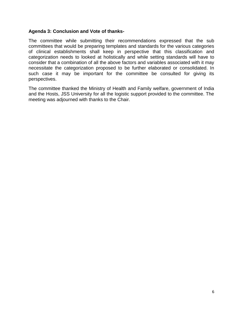#### **Agenda 3: Conclusion and Vote of thanks-**

The committee while submitting their recommendations expressed that the sub committees that would be preparing templates and standards for the various categories of clinical establishments shall keep in perspective that this classification and categorization needs to looked at holistically and while setting standards will have to consider that a combination of all the above factors and variables associated with it may necessitate the categorization proposed to be further elaborated or consolidated. In such case it may be important for the committee be consulted for giving its perspectives.

The committee thanked the Ministry of Health and Family welfare, government of India and the Hosts, JSS University for all the logistic support provided to the committee. The meeting was adjourned with thanks to the Chair.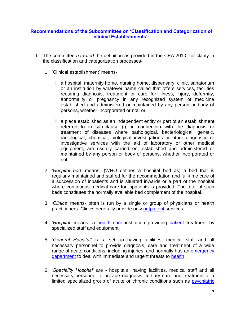#### **Recommendations of the Subcommittee on 'Classification and Categorization of clinical Establishments':**

- I. The committee *narrated* the definition as provided in the CEA 2010 for clarity in the classification and categorization processes-
	- 1. 'Clinical establishment' means
		- i. a hospital, maternity home, nursing home, dispensary, clinic, sanatorium or an institution by whatever name called that offers services, facilities requiring diagnosis, treatment or care for illness, injury, deformity, abnormality or pregnancy in any recognized system of medicine established and administered or maintained by any person or body of persons, whether incorporated or not; or
		- ii. a place established as an independent entity or part of an establishment referred to in sub-clause (i), in connection with the diagnosis or treatment of diseases where pathological, bacteriological, genetic, radiological, chemical, biological investigations or other diagnostic or investigative services with the aid of laboratory or other medical equipment, are usually carried on, established and administered or maintained by any person or body of persons, whether incorporated or not.
	- 2. *'Hospital bed'* means- (WHO defines a hospital bed as) a bed that is regularly maintained and staffed for the accommodation and full-time care of a succession of inpatients and is situated inwards or a part of the hospital where continuous medical care for inpatients is provided. The total of such beds constitutes the normally available bed complement of the hospital.
	- 3. *'Clinics'* means- often is run by a single or group of physicians or health practitioners. Clinics generally provide only [outpatient](http://en.wikipedia.org/wiki/Outpatient) services.
	- 4. *'Hospital'* means- a [health care](http://en.wikipedia.org/wiki/Health_care) institution providing [patient](http://en.wikipedia.org/wiki/Patient) treatment by specialized staff and equipment.
	- 5. *'General Hospital'* is- a set up having facilities, medical staff and all necessary personnel to provide diagnosis, care and treatment of a wide range of acute conditions, including injuries, and normally has an emergency [department](http://en.wikipedia.org/wiki/Emergency_department) to deal with immediate and urgent threats to [health.](http://en.wikipedia.org/wiki/Health)
	- 6. *'Speciality Hospital'* are hospitals having facilities, medical staff and all necessary personnel to provide diagnosis, tertiary care and treatment of a limited specialized group of acute or chronic conditions such as **psychiatric**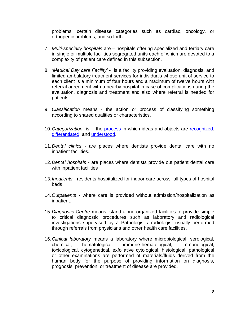problems, certain disease categories such as cardiac, oncology, or orthopedic problems, and so forth.

- 7. *Multi-specialty hospitals* are hospitals offering specialized and tertiary care in single or multiple facilities segregated units each of which are devoted to a complexity of patient care defined in this subsection.
- 8. *'Medical Day care Facility'* is a facility providing evaluation, diagnosis, and limited ambulatory treatment services for individuals whose unit of service to each client is a minimum of four hours and a maximum of twelve hours with referral agreement with a nearby hospital in case of complications during the evaluation, diagnosis and treatment and also where referral is needed for patients.
- 9. *Classification* means the action or process of classifying something according to shared qualities or characteristics.
- 10.*Categorization* is the [process](http://en.wikipedia.org/wiki/Process) in which ideas and objects are [recognized,](http://en.wikipedia.org/wiki/Recall_(memory)) [differentiated,](http://en.wiktionary.org/wiki/differentiation) and [understood.](http://en.wikipedia.org/wiki/Understanding)
- 11.*Dental clinics* are places where dentists provide dental care with no inpatient facilities.
- 12.*Dental hospitals* are places where dentists provide out patient dental care with inpatient facilities
- 13.*Inpatients* residents hospitalized for indoor care across all types of hospital beds
- 14.*Outpatients* where care is provided without admission/hospitalization as inpatient.
- 15.*Diagnostic Centre* means- stand alone organized facilities to provide simple to critical diagnostic procedures such as laboratory and radiological investigations supervised by a Pathologist / radiologist usually performed through referrals from physicians and other health care facilities.
- 16.*Clinical laboratory* means a laboratory where microbiological, serological, chemical, hematological, immune-hematological, immunological, toxicological, cytogenetical, exfoliative cytological, histological, pathological or other examinations are performed of materials/fluids derived from the human body for the purpose of providing information on diagnosis, prognosis, prevention, or treatment of disease are provided.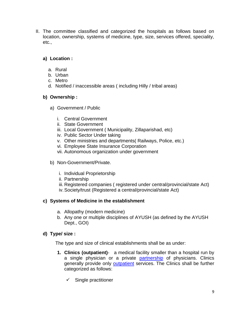II. The committee classified and categorized the hospitals as follows based on location, ownership, systems of medicine, type, size, services offered, speciality, etc.,

### **a) Location :**

- a. Rural
- b. Urban
- c. Metro
- d. Notified / inaccessible areas ( including Hilly / tribal areas)

### **b) Ownership :**

- a) Government / Public
	- i. Central Government
	- ii. State Government
	- iii. Local Government ( Municipality, Zillaparishad, etc)
	- iv. Public Sector Under taking
	- v. Other ministries and departments( Railways, Police, etc.)
	- vi. Employee State Insurance Corporation
	- vii. Autonomous organization under government
- b) Non-Government/Private.
	- i. Individual Proprietorship
	- ii. Partnership
	- iii. Registered companies ( registered under central/provincial/state Act)
	- iv.Society/trust (Registered a central/provincial/state Act)

### **c) Systems of Medicine in the establishment**

- a. Allopathy (modern medicine)
- b. Any one or multiple disciplines of AYUSH (as defined by the AYUSH Dept., GOI)

### **d) Type/ size :**

The type and size of clinical establishments shall be as under:

- **1. Clinics (outpatient)** a medical facility smaller than a hospital run by a single physician or a private [partnership](http://en.wikipedia.org/wiki/Partnership) of physicians. Clinics generally provide only [outpatient](http://en.wikipedia.org/wiki/Outpatient) services. The Clinics shall be further categorized as follows:
	- $\checkmark$  Single practitioner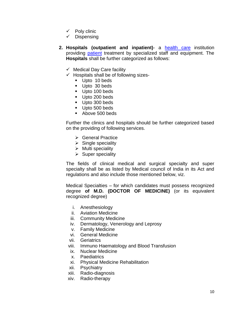- $\checkmark$  Poly clinic
- $\checkmark$  Dispensing
- **2. Hospitals (outpatient and inpatient)** a [health care](http://en.wikipedia.org/wiki/Health_care) institution providing [patient](http://en.wikipedia.org/wiki/Patient) treatment by specialized staff and equipment. The **Hospitals** shall be further categorized as follows:
	- $\checkmark$  Medical Day Care facility
	- $\checkmark$  Hospitals shall be of following sizes-
		- Upto 10 beds
		- Upto 30 beds
		- Upto 100 beds
		- Upto 200 beds
		- Upto 300 beds
		- Upto 500 beds
		- Above 500 beds

Further the clinics and hospitals should be further categorized based on the providing of following services.

- **► General Practice**
- $\triangleright$  Single speciality
- $\triangleright$  Multi speciality
- $\triangleright$  Super speciality

The fields of clinical medical and surgical specialty and super specialty shall be as listed by Medical council of India in its Act and regulations and also include those mentioned below, viz.

Medical Specialties – for which candidates must possess recognized degree **of M.D. (DOCTOR OF MEDICINE)** (or its equivalent recognized degree)

- i. Anesthesiology
- ii. Aviation Medicine
- iii. Community Medicine
- iv. Dermatology, Venerology and Leprosy
- v. Family Medicine
- vi. General Medicine
- vii. Geriatrics
- viii. Immuno Haematology and Blood Transfusion
- ix. Nuclear Medicine
- x. Paediatrics
- xi. Physical Medicine Rehabilitation
- xii. Psychiatry
- xiii. Radio-diagnosis
- xiv. Radio-therapy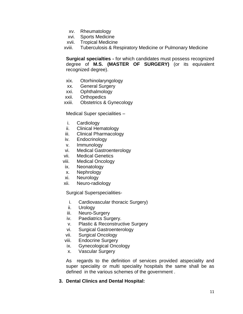- xv. Rheumatology
- xvi. Sports Medicine
- xvii. Tropical Medicine

xviii. Tuberculosis & Respiratory Medicine or Pulmonary Medicine

**Surgical specialties -** for which candidates must possess recognized degree of **M.S. (MASTER OF SURGERY)** (or its equivalent recognized degree).

- xix. Otorhinolaryngology
- xx. General Surgery
- xxi. Ophthalmology
- xxii. Orthopedics
- xxiii. Obstetrics & Gynecology

Medical Super specialities –

- i. Cardiology
- ii. Clinical Hematology
- iii. Clinical Pharmacology
- iv. Endocrinology
- v. Immunology
- vi. Medical Gastroenterology
- vii. Medical Genetics
- viii. Medical Oncology
- ix. Neonatology
- x. Nephrology
- xi. Neurology
- xii. Neuro-radiology

Surgical Superspecialities-

- i. Cardiovascular thoracic Surgery)
- ii. Urology
- iii. Neuro-Surgery
- iv. Paediatrics Surgery.
- v. Plastic & Reconstructive Surgery
- vi. Surgical Gastroenterology
- vii. Surgical Oncology
- viii. Endocrine Surgery
- ix. Gynecological Oncology
- x. Vascular Surgery

As regards to the definition of services provided atspeciality and super speciality or multi speciality hospitals the same shall be as defined in the various schemes of the government .

#### **3. Dental Clinics and Dental Hospital:**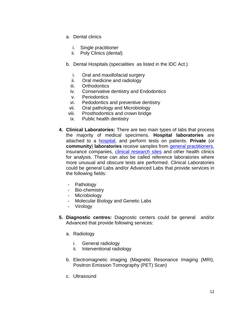- a. Dental clinics
	- i. Single practitioner
	- ii. Poly Clinics (dental)
- b. Dental Hospitals (specialities as listed in the IDC Act.)
	- i. Oral and maxillofacial surgery
	- ii. Oral medicine and radiology
	- iii. Orthodontics
	- iv. Conservative dentistry and Endodontics
	- v. Periodontics
	- vi. Pedodontics and preventive dentistry
	- vii. Oral pathology and Microbiology
- viii. Prosthodontics and crown bridge
- ix. Public health dentistry
- **4. Clinical Laboratories:** There are two main types of labs that process the majority of medical specimens. **Hospital laboratories** are attached to a [hospital,](http://en.wikipedia.org/wiki/Hospital) and perform tests on patients. **Private** (or **community**) **laboratories** receive samples from [general practitioners,](http://en.wikipedia.org/wiki/General_practitioner) insurance companies, [clinical research sites](http://en.wikipedia.org/wiki/Contract_research_organization) and other health clinics for analysis. These can also be called reference laboratories where more unusual and obscure tests are performed. Clinical Laboratories could be general Labs and/or Advanced Labs that provide services in the following fields:
	- Pathology
	- Bio-chemistry
	- Microbiology
	- Molecular Biology and Genetic Labs
	- Virology
- **5. Diagnostic centres:** Diagnostic centers could be general and/or Advanced that provide following services:
	- a. Radiology
		- i. General radiology
		- ii. Interventional radiology
	- b. Electromagnetic imaging (Magnetic Resonance Imaging (MRI), Positron Emission Tomography (PET) Scan)
	- c. Ultrasound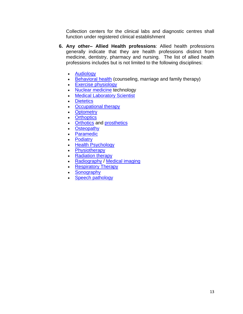Collection centers for the clinical labs and diagnostic centres shall function under registered clinical establishment

- **6. Any other– Allied Health professions**: Allied health professions generally indicate that they are health professions distinct from medicine, dentistry, pharmacy and nursing. The list of allied health professions includes but is not limited to the following disciplines:
	- [Audiology](http://en.wikipedia.org/wiki/Audiology)
	- Behavioral health (counseling, marriage and family therapy)
	- **[Exercise physiology](http://en.wikipedia.org/wiki/Exercise_physiology)**
	- [Nuclear medicine](http://en.wikipedia.org/wiki/Nuclear_medicine) technology
	- **[Medical Laboratory Scientist](http://en.wikipedia.org/wiki/Medical_Laboratory_Scientist)**
	- [Dietetics](http://en.wikipedia.org/wiki/Dietetics)
	- [Occupational therapy](http://en.wikipedia.org/wiki/Occupational_therapy)
	- [Optometry](http://en.wikipedia.org/wiki/Optometry)
	- [Orthoptics](http://en.wikipedia.org/wiki/Orthoptics)
	- [Orthotics](http://en.wikipedia.org/wiki/Orthotics) and [prosthetics](http://en.wikipedia.org/wiki/Prosthetics)
	- [Osteopathy](http://en.wikipedia.org/wiki/Osteopathy)
	- [Paramedic](http://en.wikipedia.org/wiki/Paramedic)
	- [Podiatry](http://en.wikipedia.org/wiki/Podiatry)
	- [Health Psychology](http://en.wikipedia.org/wiki/Health_Psychology)
	- [Physiotherapy](http://en.wikipedia.org/wiki/Physiotherapy)
	- [Radiation therapy](http://en.wikipedia.org/wiki/Radiation_therapy)
	- [Radiography](http://en.wikipedia.org/wiki/Radiography) / [Medical imaging](http://en.wikipedia.org/wiki/Medical_imaging)
	- [Respiratory Therapy](http://en.wikipedia.org/wiki/Respiratory_Therapy)
	- [Sonography](http://en.wikipedia.org/wiki/Sonography)
	- [Speech pathology](http://en.wikipedia.org/wiki/Speech_pathology)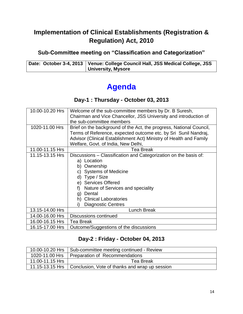## **Implementation of Clinical Establishments (Registration & Regulation) Act, 2010**

## **Sub-Committee meeting on "Classification and Categorization"**

Date: October 3-4, 2013 | Venue: College Council Hall, JSS Medical College, JSS **University, Mysore**

# **Agenda**

## **Day-1 : Thursday - October 03, 2013**

| 10.00-10.20 Hrs | Welcome of the sub-committee members by Dr. B Suresh,               |  |  |  |
|-----------------|---------------------------------------------------------------------|--|--|--|
|                 | Chairman and Vice Chancellor, JSS University and introduction of    |  |  |  |
|                 | the sub-committee members                                           |  |  |  |
| 1020-11.00 Hrs  | Brief on the background of the Act, the progress, National Council, |  |  |  |
|                 | Terms of Reference, expected outcome etc. by Sri Sunil Nandraj,     |  |  |  |
|                 | Advisor (Clinical Establishment Act) Ministry of Health and Family  |  |  |  |
|                 | Welfare, Govt. of India, New Delhi,                                 |  |  |  |
| 11.00-11.15 Hrs | <b>Tea Break</b>                                                    |  |  |  |
| 11.15-13.15 Hrs | Discussions – Classification and Categorization on the basis of:    |  |  |  |
|                 | a) Location                                                         |  |  |  |
|                 | Ownership<br>b)                                                     |  |  |  |
|                 | <b>Systems of Medicine</b><br>C)                                    |  |  |  |
|                 | Type / Size<br>d)                                                   |  |  |  |
|                 | e) Services Offered                                                 |  |  |  |
|                 | Nature of Services and speciality<br>f)                             |  |  |  |
|                 | Dental<br>g)                                                        |  |  |  |
|                 | <b>Clinical Laboratories</b><br>h)                                  |  |  |  |
|                 | <b>Diagnostic Centres</b>                                           |  |  |  |
| 13.15-14.00 Hrs | Lunch Break                                                         |  |  |  |
| 14.00-16.00 Hrs | <b>Discussions continued</b>                                        |  |  |  |
| 16.00-16.15 Hrs | Tea Break                                                           |  |  |  |
| 16.15-17.00 Hrs | Outcome/Suggestions of the discussions                              |  |  |  |

## **Day-2 : Friday - October 04, 2013**

|                 | 10.00-10.20 Hrs   Sub-committee meeting continued - Review       |  |  |
|-----------------|------------------------------------------------------------------|--|--|
|                 | 1020-11.00 Hrs   Preparation of Recommendations                  |  |  |
| 11.00-11.15 Hrs | Tea Break                                                        |  |  |
|                 | 11.15-13.15 Hrs   Conclusion, Vote of thanks and wrap up session |  |  |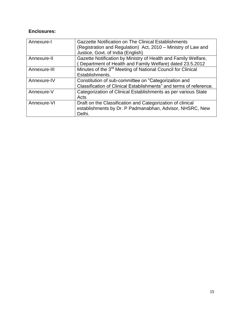### **Enclosures:**

| Annexure-I   | Gazzette Notification on The Clinical Establishments                    |
|--------------|-------------------------------------------------------------------------|
|              | (Registration and Regulation) Act, 2010 – Ministry of Law and           |
|              | Justice, Govt. of India (English)                                       |
| Annexure-II  | Gazette Notification by Ministry of Health and Family Welfare,          |
|              | Department of Health and Family Welfare) dated 23.5.2012                |
| Annexure-III | Minutes of the 3 <sup>rd</sup> Meeting of National Council for Clinical |
|              | Establishments.                                                         |
| Annexure-IV  | Constitution of sub-committee on "Categorization and                    |
|              | Classification of Clinical Establishments" and terms of reference.      |
| Annexure-V   | Categorization of Clinical Establishments as per various State          |
|              | Acts                                                                    |
| Annexure-VI  | Draft on the Classification and Categorization of clinical              |
|              | establishments by Dr. P Padmanabhan, Advisor, NHSRC, New                |
|              | Delhi.                                                                  |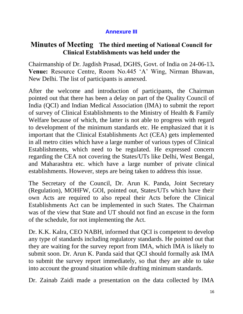## **Annexure III**

## **Minutes of Meeting The third meeting of National Council for Clinical Establishments was held under the**

Chairmanship of Dr. Jagdish Prasad, DGHS, Govt. of India on 24-06-13**. Venue:** Resource Centre, Room No.445 'A' Wing, Nirman Bhawan, New Delhi. The list of participants is annexed.

After the welcome and introduction of participants, the Chairman pointed out that there has been a delay on part of the Quality Council of India (QCI) and Indian Medical Association (IMA) to submit the report of survey of Clinical Establishments to the Ministry of Health & Family Welfare because of which, the latter is not able to progress with regard to development of the minimum standards etc. He emphasized that it is important that the Clinical Establishments Act (CEA) gets implemented in all metro cities which have a large number of various types of Clinical Establishments, which need to be regulated. He expressed concern regarding the CEA not covering the States/UTs like Delhi, West Bengal, and Maharashtra etc. which have a large number of private clinical establishments. However, steps are being taken to address this issue.

The Secretary of the Council, Dr. Arun K. Panda, Joint Secretary (Regulation), MOHFW, GOI, pointed out, States/UTs which have their own Acts are required to also repeal their Acts before the Clinical Establishments Act can be implemented in such States. The Chairman was of the view that State and UT should not find an excuse in the form of the schedule, for not implementing the Act.

Dr. K.K. Kalra, CEO NABH, informed that QCI is competent to develop any type of standards including regulatory standards. He pointed out that they are waiting for the survey report from IMA, which IMA is likely to submit soon. Dr. Arun K. Panda said that QCI should formally ask IMA to submit the survey report immediately, so that they are able to take into account the ground situation while drafting minimum standards.

Dr. Zainab Zaidi made a presentation on the data collected by IMA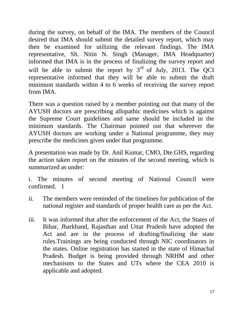during the survey, on behalf of the IMA. The members of the Council desired that IMA should submit the detailed survey report, which may then be examined for utilizing the relevant findings. The IMA representative, Sh. Nitin N. Singh (Manager, IMA Headquarter) informed that IMA is in the process of finalizing the survey report and will be able to submit the report by  $3<sup>rd</sup>$  of July, 2013. The QCI representative informed that they will be able to submit the draft minimum standards within 4 to 6 weeks of receiving the survey report from IMA.

There was a question raised by a member pointing out that many of the AYUSH doctors are prescribing allopathic medicines which is against the Supreme Court guidelines and same should be included in the minimum standards. The Chairman pointed out that wherever the AYUSH doctors are working under a National programme, they may prescribe the medicines given under that programme.

A presentation was made by Dr. Anil Kumar, CMO, Dte.GHS, regarding the action taken report on the minutes of the second meeting, which is summarized as under:

i. The minutes of second meeting of National Council were confirmed. 1

- ii. The members were reminded of the timelines for publication of the national register and standards of proper health care as per the Act.
- iii. It was informed that after the enforcement of the Act, the States of Bihar, Jharkhand, Rajasthan and Uttar Pradesh have adopted the Act and are in the process of drafting/finalizing the state rules.Trainings are being conducted through NIC coordinators in the states. Online registration has started in the state of Himachal Pradesh. Budget is being provided through NRHM and other mechanisms to the States and UTs where the CEA 2010 is applicable and adopted.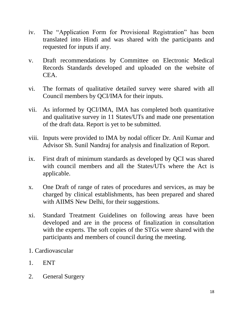- iv. The "Application Form for Provisional Registration" has been translated into Hindi and was shared with the participants and requested for inputs if any.
- v. Draft recommendations by Committee on Electronic Medical Records Standards developed and uploaded on the website of CEA.
- vi. The formats of qualitative detailed survey were shared with all Council members by QCI/IMA for their inputs.
- vii. As informed by QCI/IMA, IMA has completed both quantitative and qualitative survey in 11 States/UTs and made one presentation of the draft data. Report is yet to be submitted.
- viii. Inputs were provided to IMA by nodal officer Dr. Anil Kumar and Advisor Sh. Sunil Nandraj for analysis and finalization of Report.
- ix. First draft of minimum standards as developed by QCI was shared with council members and all the States/UTs where the Act is applicable.
- x. One Draft of range of rates of procedures and services, as may be charged by clinical establishments, has been prepared and shared with AIIMS New Delhi, for their suggestions.
- xi. Standard Treatment Guidelines on following areas have been developed and are in the process of finalization in consultation with the experts. The soft copies of the STGs were shared with the participants and members of council during the meeting.
- 1. Cardiovascular
- 1. ENT
- 2. General Surgery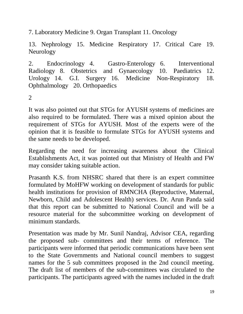7. Laboratory Medicine 9. Organ Transplant 11. Oncology

13. Nephrology 15. Medicine Respiratory 17. Critical Care 19. Neurology

2. Endocrinology 4. Gastro-Enterology 6. Interventional Radiology 8. Obstetrics and Gynaecology 10. Paediatrics 12. Urology 14. G.I. Surgery 16. Medicine Non-Respiratory 18. Ophthalmology 20. Orthopaedics

2

It was also pointed out that STGs for AYUSH systems of medicines are also required to be formulated. There was a mixed opinion about the requirement of STGs for AYUSH. Most of the experts were of the opinion that it is feasible to formulate STGs for AYUSH systems and the same needs to be developed.

Regarding the need for increasing awareness about the Clinical Establishments Act, it was pointed out that Ministry of Health and FW may consider taking suitable action.

Prasanth K.S. from NHSRC shared that there is an expert committee formulated by MoHFW working on development of standards for public health institutions for provision of RMNCHA (Reproductive, Maternal, Newborn, Child and Adolescent Health) services. Dr. Arun Panda said that this report can be submitted to National Council and will be a resource material for the subcommittee working on development of minimum standards.

Presentation was made by Mr. Sunil Nandraj, Advisor CEA, regarding the proposed sub- committees and their terms of reference. The participants were informed that periodic communications have been sent to the State Governments and National council members to suggest names for the 5 sub committees proposed in the 2nd council meeting. The draft list of members of the sub-committees was circulated to the participants. The participants agreed with the names included in the draft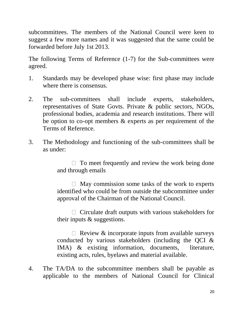subcommittees. The members of the National Council were keen to suggest a few more names and it was suggested that the same could be forwarded before July 1st 2013.

The following Terms of Reference (1-7) for the Sub-committees were agreed.

- 1. Standards may be developed phase wise: first phase may include where there is consensus.
- 2. The sub-committees shall include experts, stakeholders, representatives of State Govts. Private & public sectors, NGOs, professional bodies, academia and research institutions. There will be option to co-opt members & experts as per requirement of the Terms of Reference.
- 3. The Methodology and functioning of the sub-committees shall be as under:

 $\Box$  To meet frequently and review the work being done and through emails

 $\Box$  May commission some tasks of the work to experts identified who could be from outside the subcommittee under approval of the Chairman of the National Council.

 $\Box$  Circulate draft outputs with various stakeholders for their inputs & suggestions.

 $\Box$  Review & incorporate inputs from available surveys conducted by various stakeholders (including the QCI & IMA) & existing information, documents, literature, existing acts, rules, byelaws and material available.

4. The TA/DA to the subcommittee members shall be payable as applicable to the members of National Council for Clinical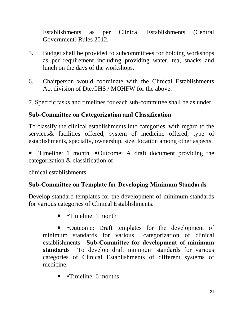Establishments as per Clinical Establishments (Central Government) Rules 2012.

- 5. Budget shall be provided to subcommittees for holding workshops as per requirement including providing water, tea, snacks and lunch on the days of the workshops.
- 6. Chairperson would coordinate with the Clinical Establishments Act division of Dte.GHS / MOHFW for the above.
- 7. Specific tasks and timelines for each sub-committee shall be as under:

## **Sub-Committee on Categorization and Classification**

To classify the clinical establishments into categories, with regard to the services& facilities offered, system of medicine offered, type of establishments, specialty, ownership, size, location among other aspects.

• Timeline: 1 month • Outcome: A draft document providing the categorization & classification of

clinical establishments.

## **Sub-Committee on Template for Developing Minimum Standards**

Develop standard templates for the development of minimum standards for various categories of Clinical Establishments.

• Timeline: 1 month

Outcome: Draft templates for the development of minimum standards for various categorization of clinical establishments **Sub-Committee for development of minimum standards** To develop draft minimum standards for various categories of Clinical Establishments of different systems of medicine.

• Timeline: 6 months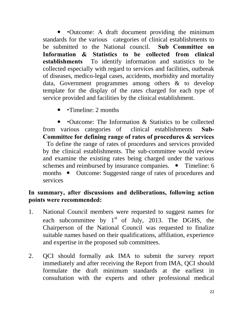Outcome: A draft document providing the minimum standards for the various categories of clinical establishments to be submitted to the National council. **Sub Committee on Information & Statistics to be collected from clinical establishments** To identify information and statistics to be collected especially with regard to services and facilities, outbreak of diseases, medico-legal cases, accidents, morbidity and mortality data, Government programmes among others & to develop template for the display of the rates charged for each type of service provided and facilities by the clinical establishment.

Timeline: 2 months

Outcome: The Information & Statistics to be collected from various categories of clinical establishments **Sub-Committee for defining range of rates of procedures & services**  To define the range of rates of procedures and services provided by the clinical establishments. The sub-committee would review and examine the existing rates being charged under the various schemes and reimbursed by insurance companies. • Timeline: 6 months • Outcome: Suggested range of rates of procedures and services

## **In summary, after discussions and deliberations, following action points were recommended:**

- 1. National Council members were requested to suggest names for each subcommittee by  $1<sup>st</sup>$  of July, 2013. The DGHS, the Chairperson of the National Council was requested to finalize suitable names based on their qualifications, affiliation, experience and expertise in the proposed sub committees.
- 2. QCI should formally ask IMA to submit the survey report immediately and after receiving the Report from IMA, QCI should formulate the draft minimum standards at the earliest in consultation with the experts and other professional medical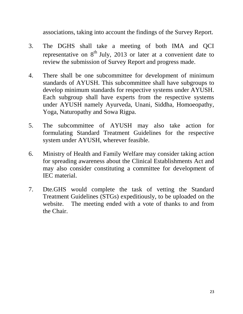associations, taking into account the findings of the Survey Report.

- 3. The DGHS shall take a meeting of both IMA and QCI representative on  $8<sup>th</sup>$  July, 2013 or later at a convenient date to review the submission of Survey Report and progress made.
- 4. There shall be one subcommittee for development of minimum standards of AYUSH. This subcommittee shall have subgroups to develop minimum standards for respective systems under AYUSH. Each subgroup shall have experts from the respective systems under AYUSH namely Ayurveda, Unani, Siddha, Homoeopathy, Yoga, Naturopathy and Sowa Rigpa.
- 5. The subcommittee of AYUSH may also take action for formulating Standard Treatment Guidelines for the respective system under AYUSH, wherever feasible.
- 6. Ministry of Health and Family Welfare may consider taking action for spreading awareness about the Clinical Establishments Act and may also consider constituting a committee for development of IEC material.
- 7. Dte.GHS would complete the task of vetting the Standard Treatment Guidelines (STGs) expeditiously, to be uploaded on the website. The meeting ended with a vote of thanks to and from the Chair.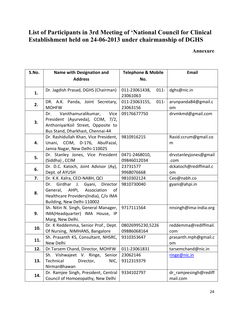## **List of Participants in 3rd Meeting of 'National Council for Clinical Establishment held on 24-06-2013 under chairmanship of DGHS**

**Annexure**

| S.No. | <b>Name with Designation and</b>                                                                                                                 | <b>Telephone &amp; Mobile</b>        | <b>Email</b>                           |
|-------|--------------------------------------------------------------------------------------------------------------------------------------------------|--------------------------------------|----------------------------------------|
|       | <b>Address</b>                                                                                                                                   | No.                                  |                                        |
| 1.    | Dr. Jagdish Prasad, DGHS (Chairman)                                                                                                              | $011 -$<br>011-23061438,<br>23061063 | dghs@nic.in                            |
| 2.    | DR. A.K. Panda, Joint Secretary,<br><b>MOHFW</b>                                                                                                 | 011-23063155,<br>$011 -$<br>23063156 | arunpanda84@gmail.c<br>om              |
| 3.    | Vanithamuralikumar,<br>Vice<br>Dr.<br>President (Ayurveda), CCIM, 7/2,<br>AnthoniyarKoil Street, Opposite to<br>Bus Stand, Dharkhast, Chennai-44 | 09176677750                          | drvmkmd@gmail.com                      |
| 4.    | Dr. Rashidullah Khan, Vice President,<br>Unani, CCIM, D-176, AbulFazal,<br>Jamia Nagar, New Delhi-110025                                         | 9810916215                           | Rasid.ccrum@gmail.co<br>m              |
| 5.    | Dr. Stanley Jones, Vice President<br>(Siddha), CCIM                                                                                              | 0471-2468010,<br>09846012034         | drvstanleyjones@gmail<br>.com          |
| 6.    | Dr. D.C. Katoch, Joint Advisor (Ay),<br>Dept. of AYUSH                                                                                           | 23731577<br>9968076668               | dckatoch@rediffmail.c<br><sub>om</sub> |
| 7.    | Dr. K.K. Kalra, CEO-NABH, QCI                                                                                                                    | 9810302124                           | Ceo@nabh.co                            |
| 8.    | Girdhar J. Gyani, Director<br>Dr.<br>AHPI, Association<br>General,<br>οf<br>Healthcare Providers(India), C/o IMA<br>Building, New Delhi-110002   | 9810730040                           | gyani@ahpi.in                          |
| 9.    | Sh. Nitin N. Singh, General Manager,<br>IMA(Headquarter) IMA House, IP<br>Marg, New Delhi.                                                       | 9717111564                           | nnsingh@ima-india.org                  |
| 10.   | Dr. K Reddemma, Senior Prof., Dept.<br>Of Nursing, NIMHANS, Bangalore                                                                            | 08026995230,5226<br>09886068164      | reddemma@rediffmail.<br>com            |
| 11.   | Sh. Prasanth KS, Consultant, NHSRC,<br>New Delhi                                                                                                 | 9310353647                           | prasanth.mph@gmail.c<br>om             |
| 12.   | Dr.Tarsem Chand, Director, MOHFW                                                                                                                 | 011-23061831                         | tarsemchand@nic.in                     |
| 13.   | Sh. Vishwajeet V. Ringe,<br>Senior<br>Technical<br>Director,<br>NIC,<br>NirmanBhawan                                                             | 23062146<br>9312319379               | ringe@nic.in                           |
| 14.   | Dr. Ramjee Singh, President, Central<br>Council of Homoeopathy, New Delhi                                                                        | 9334102797                           | dr ramjeesingh@rediff<br>mail.com      |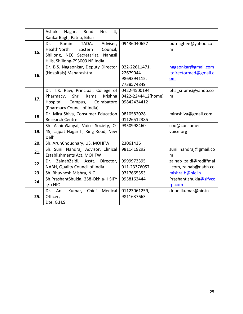|     | Ashok<br>Nagar,<br>Road<br>No.<br>4,     |                    |                        |
|-----|------------------------------------------|--------------------|------------------------|
|     | KankarBagh, Patna, Bihar                 |                    |                        |
|     | Adviser,<br><b>Bamin</b><br>TADA,<br>Dr. | 09436040657        | putnaghee@yahoo.co     |
| 15. | HealthNorth<br>Council,<br>Eastern       |                    | m                      |
|     | Shillong, NEC Secretariat, Nangsil       |                    |                        |
|     | Hills, Shillong-793003 NE India          |                    |                        |
|     | Dr. B.S. Nagaonkar, Deputy Director      | 022-22611471,      | nagaonkar@gmail.com    |
|     | (Hospitals) Maharashtra                  | 22679044           | jtdirectormed@gmail.c  |
| 16. |                                          |                    |                        |
|     |                                          | 9869394115,        | om                     |
|     |                                          | 7738574849         |                        |
|     | Dr. T.K. Ravi, Principal, College of     | 0422-4500194       | pha sripms@yahoo.co    |
| 17. | Shri<br>Krishna<br>Pharmacy,<br>Rama     | 0422-2244412(home) | m                      |
|     | Hospital<br>Campus,<br>Coimbatore        | 09842434412        |                        |
|     | (Pharmacy Council of India)              |                    |                        |
| 18. | Dr. Mira Shiva, Consumer Education       | 9810582028         | mirashiva@gmail.com    |
|     | <b>Research Centre</b>                   | 01126512385        |                        |
|     | Sh. AshimSanyal, Voice Society, O-       | 9350998460         | coo@consumer-          |
| 19. | 45, Lajpat Nagar II, Ring Road, New      |                    | voice.org              |
|     | Delhi                                    |                    |                        |
| 20. | Sh. ArunChoudhary, US, MOHFW             | 23061436           |                        |
|     | Sh. Sunil Nandraj, Advisor, Clinical     | 9811419292         | sunil.nandraj@gmail.co |
| 21. | Establishments Act, MOHFW                |                    | m                      |
|     | ZainabZaidi, Asstt.<br>Director,<br>Dr.  | 9999973395         | zainab zaidi@rediffmai |
| 22. | NABH, Quality Council of India           | 011-23376057       | l.com, zainab@nabh.co  |
| 23. | Sh. Bhuvnesh Mishra, NIC                 | 9717665353         | mishra.b@nic.in        |
|     | Sh.PrashantShukla, 258-Okhla-II SIFY     | 9958162444         | Prashant.shukla@sifyco |
| 24. | $c/o$ NIC                                |                    | rp.com                 |
|     | Kumar, Chief<br>Medical<br>Dr. Anil      | 01123061259,       | dr.anilkumar@nic.in    |
| 25. | Officer,                                 | 9811637663         |                        |
|     | Dte. G.H.S                               |                    |                        |
|     |                                          |                    |                        |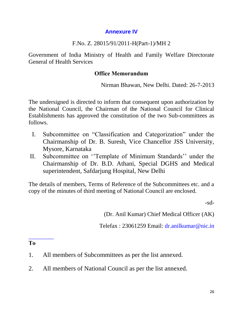## **Annexure IV**

## F.No. Z. 28015/91/2011-H(Part-1)/MH 2

Government of India Ministry of Health and Family Welfare Directorate General of Health Services

## **Office Memorandum**

Nirman Bhawan, New Delhi. Dated: 26-7-2013

The undersigned is directed to inform that consequent upon authorization by the National Council, the Chairman of the National Council for Clinical Establishments has approved the constitution of the two Sub-committees as follows.

- I. Subcommittee on "Classification and Categorization" under the Chairmanship of Dr. B. Suresh, Vice Chancellor JSS University, Mysore, Karnataka
- II. Subcommittee on ''Template of Minimum Standards'' under the Chairmanship of Dr. B.D. Athani, Special DGHS and Medical superintendent, Safdarjung Hospital, New Delhi

The details of members, Terms of Reference of the Subcommittees etc. and a copy of the minutes of third meeting of National Council are enclosed.

-sd-

(Dr. Anil Kumar) Chief Medical Officer (AK)

Telefax : 23061259 Email: dr.anilkumar@nic.in

**To**

- 1. All members of Subcommittees as per the list annexed.
- 2. All members of National Council as per the list annexed.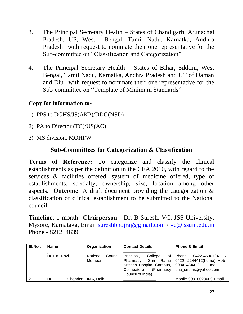- 3. The Principal Secretary Health States of Chandigarh, Arunachal Pradesh, UP, West Bengal, Tamil Nadu, Karnatka, Andhra Pradesh with request to nominate their one representative for the Sub-committee on "Classification and Categorization"
- 4. The Principal Secretary Health States of Bihar, Sikkim, West Bengal, Tamil Nadu, Karnatka, Andhra Pradesh and UT of Daman and Diu with request to nominate their one representative for the Sub-committee on "Template of Minimum Standards"

## **Copy for information to-**

- 1) PPS to DGHS/JS(AKP)/DDG(NSD)
- 2) PA to Director (TC)/US(AC)
- 3) MS division, MOHFW

## **Sub-Committees for Categorization & Classification**

**Terms of Reference:** To categorize and classify the clinical establishments as per the definition in the CEA 2010, with regard to the services & facilities offered, system of medicine offered, type of establishments, specialty, ownership, size, location among other aspects. **Outcome**: A draft document providing the categorization & classification of clinical establishment to be submitted to the National council.

**Timeline**: 1 month **Chairperson** - Dr. B Suresh, VC, JSS University, Mysore, Karnataka, Email sureshbhojraj@gmail.com / vc@jssuni.edu.in Phone - 821254839

| SI.No. | <b>Name</b>    | Organization                  | <b>Contact Details</b>                                                                                                      | <b>Phone &amp; Email</b>                                                                            |
|--------|----------------|-------------------------------|-----------------------------------------------------------------------------------------------------------------------------|-----------------------------------------------------------------------------------------------------|
|        | Dr.T.K. Ravi   | Council<br>National<br>Member | Principal,<br>College<br>Pharmacy.<br>Krishna Hospital Campus, 09842434412<br>(Pharmacy)<br>Coimbatore<br>Council of India) | of I Phone<br>0422-4500194<br>Shri Rama   0422- 2244412(home) Mob-<br>Email<br>pha_sripms@yahoo.com |
| 2.     | Chander<br>Dr. | IMA, Delhi                    |                                                                                                                             | Mobile-09810029000 Email -                                                                          |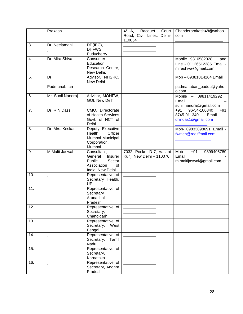|     | Prakash           |                                                                                                | Court<br>$4/1 - A$ ,<br>Racquet<br>Road, Civil Lines, Delhi-<br>110054 | Chanderprakash48@yahoo.<br>com                                                 |
|-----|-------------------|------------------------------------------------------------------------------------------------|------------------------------------------------------------------------|--------------------------------------------------------------------------------|
| 3.  | Dr. Neelamani     | DD(IEC),<br>DHFWS,<br>Puducherry                                                               |                                                                        |                                                                                |
| 4.  | Dr. Mira Shiva    | Consumer<br>Education<br>Research Centre,<br>New Delhi,                                        |                                                                        | Mobile 9810582028<br>Land<br>Line - 01126512385 Email -<br>mirashiva@gmail.com |
| 5.  | Dr.               | Advisor, NHSRC,<br>New Delhi                                                                   |                                                                        | Mob - 09381014264 Email                                                        |
|     | Padmanabhan       |                                                                                                |                                                                        | padmanaban_paddu@yaho<br>o.com                                                 |
| 6.  | Mr. Sunil Nandraj | Advisor, MOHFW,<br>GOI, New Delhi                                                              |                                                                        | Mobile - 09811419292<br>Email<br>sunil.nandraj@gmail.com                       |
| 7.  | Dr. R N Dass      | CMO, Directorate<br>of Health Services<br>Govt. of NCT of<br>Delhi                             |                                                                        | 96-54-100340<br>$+91$<br>$+91$<br>8745-011340<br>Email<br>drrndas1@gmail.com   |
| 8.  | Dr. Mrs. Keskar   | Deputy Executive<br>Health<br>Officer<br>Mumbai Municipal<br>Corporation,<br>Mumbai            |                                                                        | Mob- 09833898691 Email -<br>fwmch@rediffmail.com                               |
| 9.  | M Malti Jaswal    | Consultant,<br>General<br>Insurer<br>Public<br>Sector<br>Association<br>of<br>India, New Delhi | 7032, Pocket D-7, Vasant<br>Kunj, New Delhi - 110070                   | Mob-<br>$+91$<br>9899405789<br>Email<br>m.maltijaswal@gmail.com                |
| 10. |                   | Representative of<br>Secretary Health,<br>UP                                                   |                                                                        |                                                                                |
| 11. |                   | Representative of<br>Secretary<br>Arunachal<br>Pradesh                                         |                                                                        |                                                                                |
| 12. |                   | Representative of<br>Secretary,<br>Chandigarh                                                  |                                                                        |                                                                                |
| 13. |                   | Representative of<br>Secretary,<br>West<br>Bengal                                              |                                                                        |                                                                                |
| 14. |                   | Representative of<br>Secretary,<br>Tamil<br>Nadu                                               |                                                                        |                                                                                |
| 15. |                   | Representative of<br>Secretary,<br>Karnataka                                                   |                                                                        |                                                                                |
| 16. |                   | Representative of<br>Secretary, Andhra<br>Pradesh                                              |                                                                        |                                                                                |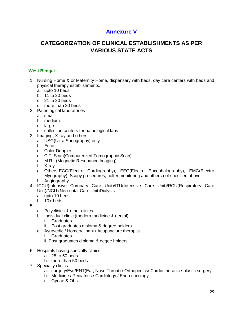## **Annexure V**

## **CATEGORIZATION OF CLINICAL ESTABLISHMENTS AS PER VARIOUS STATE ACTS**

#### **West Bengal**

- 1. Nursing Home & or Maternity Home, dispensary with beds, day care centers with beds and physical therapy establishments.
	- a. upto 10 beds
	- b. 11 to 20 beds
	- c. 21 to 30 beds
	- d. more than 30 beds
- 2. Pathological laboratories
	- a. small
		- b. medium
		- c. large
		- d. collection centers for pathological labs
- 3. Imaging, X-ray and others
	- a. USG(Ultra Sonography) only
	- b. Echo
	- c. Color Doppler
	- d. C.T. Scan(Computerized Tomographic Scan)
	- e. M.R.I.(Magnetic Resonance Imaging)
	- f. X-ray
	- g. Others-ECG(Electro Cardiography), EEG(Electro Encephalography), EMG(Electro Myography), Scopy procedures, holter monitoring and others not specified above
	- h. Angiography
- 4. ICCU(Intensive Coronary Care Unit)/ITU(Intensive Care Unit)/RCU(Respiratory Care Unit)/NCU (Neo-natal Care Unit)Dialysis
	- a. upto 10 beds
	- b. 10+ beds
- 5.
- a. Polyclinics & other clinics
- b. Individual clinic (modern medicine & dental)
	- i. Graduates
	- ii. Post graduates diploma & degree holders
- c. Ayurvedic / Homeo/Unani / Acupuncture therapist
	- i. Graduates
	- ii. Post graduates diploma & degee holders
- 6. Hospitals having specialty clinics
	- a. 25 to 50 beds
	- b. more than 50 beds
- 7. Specialty clinics
	- a. surgery/Eye/ENT(Ear, Nose Throat) / Orthopedics/ Cardio thoracic / plastic surgery
	- b. Medicine / Pediatrics / Cardiology / Endo crinology
	- c. Gynae & Obst.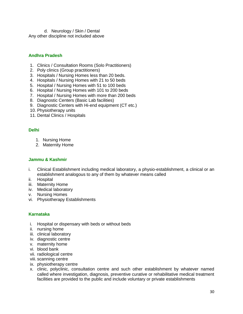d. Neurology / Skin / Dental Any other discipline not included above

#### **Andhra Pradesh**

- 1. Clinics / Consultation Rooms (Solo Practitioners)
- 2. Poly clinics (Group practitioners)
- 3. Hospitals / Nursing Homes less than 20 beds.
- 4. Hospitals / Nursing Homes with 21 to 50 beds
- 5. Hospital / Nursing Homes with 51 to 100 beds
- 6. Hospital / Nursing Homes with 101 to 200 beds
- 7. Hospital / Nursing Homes with more than 200 beds
- 8. Diagnostic Centers (Basic Lab facilities)
- 9. Diagnostic Centers with Hi-end equipment (CT etc.)
- 10. Physiotherapy units
- 11. Dental Clinics / Hospitals

#### **Delhi**

- 1. Nursing Home
- 2. Maternity Home

#### **Jammu & Kashmir**

- i. Clinical Establishment including medical laboratory, a physio-establishment, a clinical or an establishment analogous to any of them by whatever means called
- ii. Hospital
- iii. Maternity Home
- iv. Medical laboratory
- v. Nursing Homes
- vi. Physiotherapy Establishments

#### **Karnataka**

- i. Hospital or dispensary with beds or without beds
- ii. nursing home
- iii. clinical laboratory
- iv. diagnostic centre
- v. maternity home
- vi. blood bank
- vii. radiological centre
- viii. scanning centre
- ix. physiotherapy centre
- x. clinic, polyclinic, consultation centre and such other establishment by whatever named called where investigation, diagnosis, preventive curative or rehabilitative medical treatment facilities are provided to the public and include voluntary or private establishments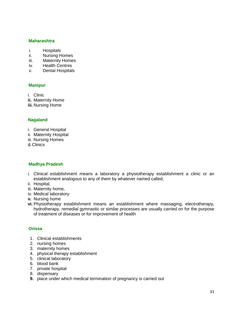#### **Maharashtra**

- i. Hospitals
- ii. Nursing Homes
- iii. Maternity Homes
- iv. Health Centres
- v. Dental Hospitals

#### **Manipur**

- i. Clinic
- **ii.** Maternity Home
- **iii.** Nursing Home

#### **Nagaland**

- i. General Hospital
- ii. Maternity Hospital
- iii. Nursing Homes
- & Clinics

#### **Madhya Pradesh**

- i. Clinical establishment means a laboratory a physiotherapy establishment a clinic or an establishment analogous to any of them by whatever named called,
- ii. Hospital,
- iii. Maternity home,
- iv. Medical laboratory
- **v.** Nursing home
- **vi.** Physiotherapy establishment means an establishment where massaging, electrotherapy, hydrotherapy, remedial gymnastic or similar processes are usually carried on for the purpose of treatment of diseases or for improvement of health

#### **Orissa**

- 1. Clinical establishments
- 2. nursing homes
- 3. maternity homes
- 4. physical therapy establishment
- 5. clinical laboratory
- 6. blood bank
- 7. private hospital
- 8. dispensary
- **9.** place under which medical termination of pregnancy is carried out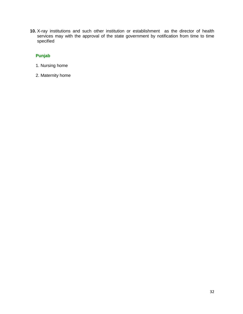**10.** X-ray institutions and such other institution or establishment as the director of health services may with the approval of the state government by notification from time to time specified

#### **Punjab**

- 1. Nursing home
- 2. Maternity home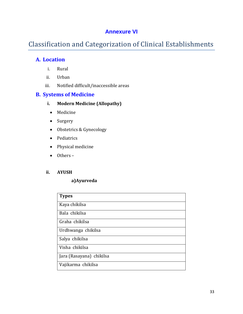## **Annexure VI**

## Classification and Categorization of Clinical Establishments

## **A. Location**

- i. Rural
- ii. Urban
- iii. Notified difficult/inaccessible areas

### **B. Systems of Medicine**

- **i. Modern Medicine (Allopathy)**
- Medicine
- Surgery
- Obstetrics & Gynecology
- Pediatrics
- Physical medicine
- Others –

#### **ii. AYUSH**

#### **a)Ayurveda**

| <b>Types</b>             |
|--------------------------|
| Kaya chikilsa            |
| Bala chikilsa            |
| Graha chikilsa           |
| Urdhwanga chikilsa       |
| Salya chikilsa           |
| Visha chikilsa           |
| Jara (Rasayana) chikilsa |
| Vajikarma chikilsa       |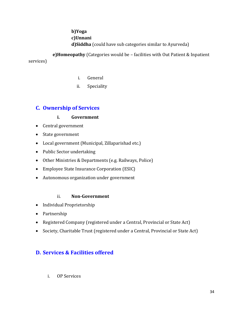**b)Yoga c)Unnani d)Siddha** (could have sub categories similar to Ayurveda)

 **e)Homeopathy** (Categories would be – facilities with Out Patient & Inpatient services)

- i. General
- ii. Speciality

## **C. Ownership of Services**

#### **i. Government**

- Central government
- State government
- Local government (Municipal, Zillaparishad etc.)
- Public Sector undertaking
- Other Ministries & Departments (e.g. Railways, Police)
- Employee State Insurance Corporation (ESIC)
- Autonomous organization under government

#### ii. **Non-Government**

- Individual Proprietorship
- Partnership
- Registered Company (registered under a Central, Provincial or State Act)
- Society, Charitable Trust (registered under a Central, Provincial or State Act)

## **D. Services & Facilities offered**

i. OP Services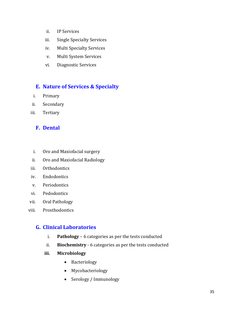- ii. IP Services
- iii. Single Specialty Services
- iv. Multi Specialty Services
- v. Multi System Services
- vi. Diagnostic Services

## **E. Nature of Services & Specialty**

- i. Primary
- ii. Secondary
- iii. Tertiary

## **F. Dental**

- i. Oro and Maxiofacial surgery
- ii. Oro and Maxiofacial Radiology
- iii. Orthodontics
- iv. Endodontics
- v. Periodontics
- vi. Pedodontics
- vii. Oral Pathology
- viii. Prosthodontics

## **G. Clinical Laboratories**

- i. **Pathology** 6 categories as per the tests conducted
- ii. **Biochemistry** 6 categories as per the tests conducted
- **iii. Microbiology**
	- Bacteriology
	- Mycobacteriology
	- Serology / Immunology